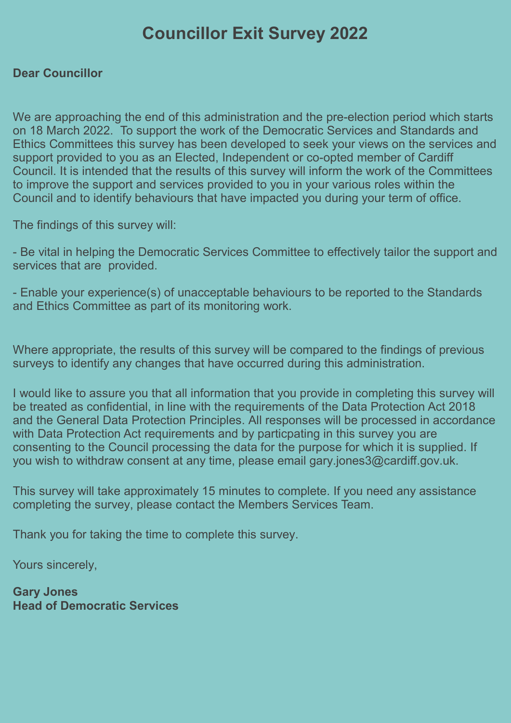# Councillor Exit Survey 2022

## Dear Councillor

We are approaching the end of this administration and the pre-election period which starts on 18 March 2022. To support the work of the Democratic Services and Standards and Ethics Committees this survey has been developed to seek your views on the services and support provided to you as an Elected, Independent or co-opted member of Cardiff Council. It is intended that the results of this survey will inform the work of the Committees to improve the support and services provided to you in your various roles within the Council and to identify behaviours that have impacted you during your term of office.

The findings of this survey will:

- Be vital in helping the Democratic Services Committee to effectively tailor the support and services that are provided.

- Enable your experience(s) of unacceptable behaviours to be reported to the Standards and Ethics Committee as part of its monitoring work.

Where appropriate, the results of this survey will be compared to the findings of previous surveys to identify any changes that have occurred during this administration.

I would like to assure you that all information that you provide in completing this survey will be treated as confidential, in line with the requirements of the Data Protection Act 2018 and the General Data Protection Principles. All responses will be processed in accordance with Data Protection Act requirements and by particpating in this survey you are consenting to the Council processing the data for the purpose for which it is supplied. If you wish to withdraw consent at any time, please email gary.jones3@cardiff.gov.uk.

This survey will take approximately 15 minutes to complete. If you need any assistance completing the survey, please contact the Members Services Team.

Thank you for taking the time to complete this survey.

Yours sincerely,

Gary Jones Head of Democratic Services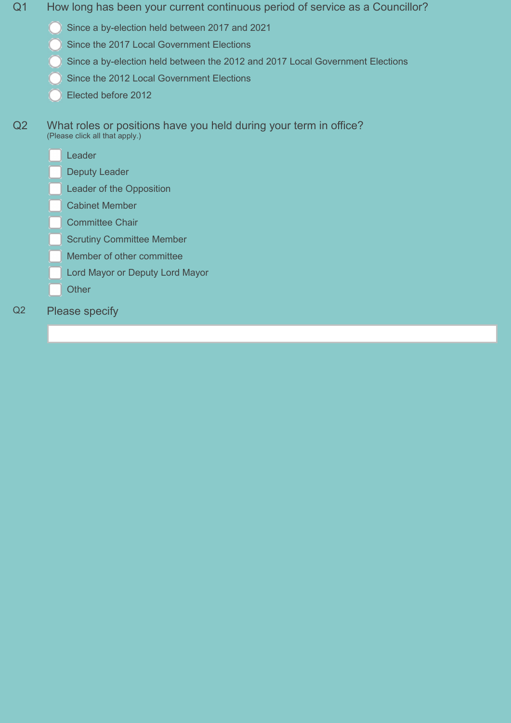- Q1 How long has been your current continuous period of service as a Councillor?
	- Since a by-election held between 2017 and 2021
	- Since the 2017 Local Government Elections
	- Since a by-election held between the 2012 and 2017 Local Government Elections
	- Since the 2012 Local Government Elections
	- Elected before 2012
- Q2 What roles or positions have you held during your term in office? (Please click all that apply.)
	- Leader
	- Deputy Leader
	- Leader of the Opposition
	- Cabinet Member
	- Committee Chair
	- Scrutiny Committee Member
	- Member of other committee
	- Lord Mayor or Deputy Lord Mayor
	- **Other**
- Q2 Please specify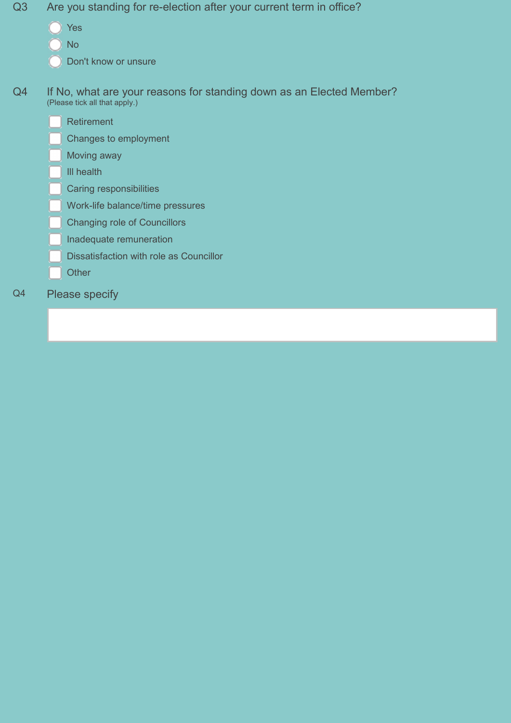- Q3 Are you standing for re-election after your current term in office?
	- Yes
	- No
	- Don't know or unsure
- Q4 If No, what are your reasons for standing down as an Elected Member? (Please tick all that apply.)
	- Retirement
	- Changes to employment
	- Moving away
	- Ill health
	- Caring responsibilities
	- Work-life balance/time pressures
	- Changing role of Councillors
	- Inadequate remuneration
	- Dissatisfaction with role as Councillor
	- **Other**
- Q4 Please specify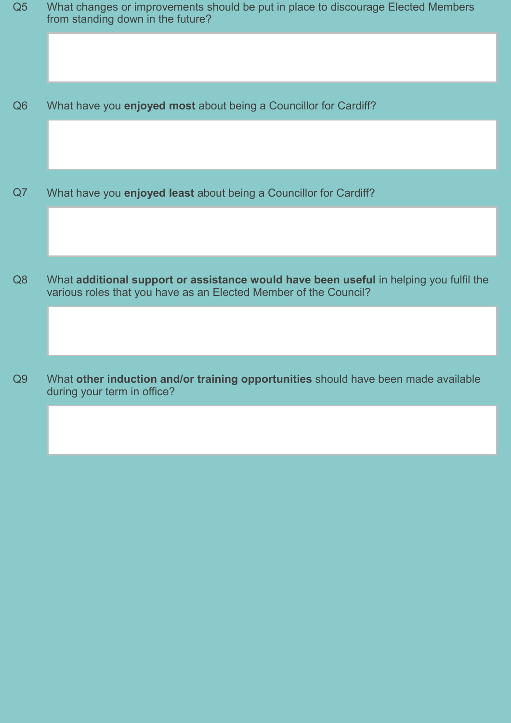| Q <sub>5</sub> | What changes or improvements should be put in place to discourage Elected Members<br>from standing down in the future?                                     |
|----------------|------------------------------------------------------------------------------------------------------------------------------------------------------------|
|                |                                                                                                                                                            |
| Q <sub>6</sub> | What have you enjoyed most about being a Councillor for Cardiff?                                                                                           |
|                |                                                                                                                                                            |
| Q7             | What have you enjoyed least about being a Councillor for Cardiff?                                                                                          |
|                |                                                                                                                                                            |
| Q8             | What additional support or assistance would have been useful in helping you fulfil the<br>various roles that you have as an Elected Member of the Council? |
|                |                                                                                                                                                            |
| Q9             | What other induction and/or training opportunities should have been made available                                                                         |

during your term in office?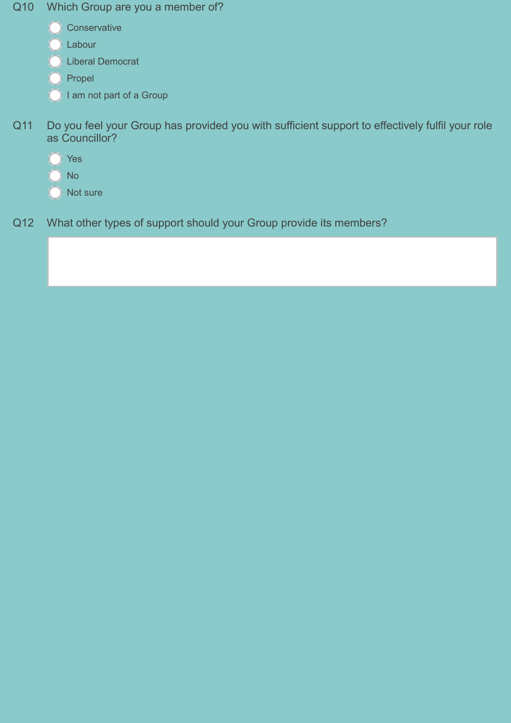- Q10 Which Group are you a member of?
	- **Conservative**
	- Labour
	- Liberal Democrat
	- $\bigcirc$  Propel
	- $\bigcirc$  I am not part of a Group
- Q11 Do you feel your Group has provided you with sufficient support to effectively fulfil your role as Councillor?
	- Yes
	- No
	- Not sure
- Q12 What other types of support should your Group provide its members?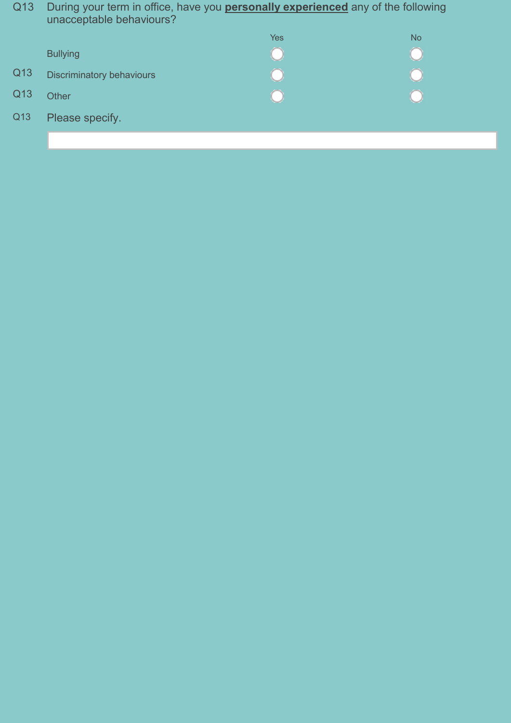Q13 During your term in office, have you **personally experienced** any of the following unacceptable behaviours?

|     |                           | Yes | <b>No</b> |
|-----|---------------------------|-----|-----------|
|     | <b>Bullying</b>           |     |           |
| Q13 | Discriminatory behaviours |     |           |
| Q13 | Other                     |     |           |
| Q13 | Please specify.           |     |           |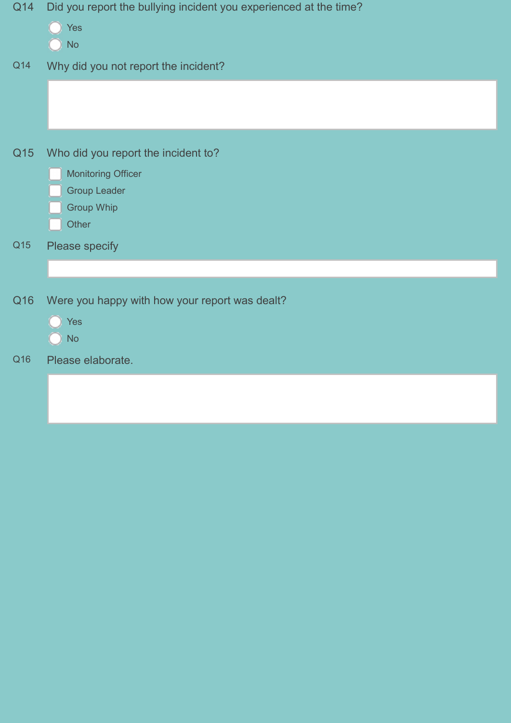| Q14 | Did you report the bullying incident you experienced at the time? |
|-----|-------------------------------------------------------------------|
|     | Yes<br><b>No</b>                                                  |
| Q14 | Why did you not report the incident?                              |
|     |                                                                   |
| Q15 | Who did you report the incident to?                               |
|     | <b>Monitoring Officer</b>                                         |
|     | <b>Group Leader</b><br><b>Group Whip</b>                          |
|     | Other                                                             |
| Q15 | Please specify                                                    |
|     |                                                                   |
| Q16 | Were you happy with how your report was dealt?                    |
|     | Yes<br><b>No</b>                                                  |
|     |                                                                   |
|     |                                                                   |
|     |                                                                   |
| Q16 | Please elaborate.                                                 |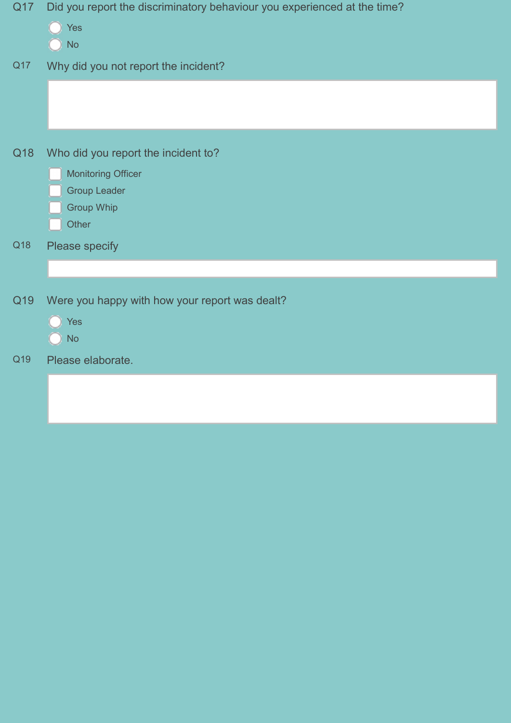| Q17 | Did you report the discriminatory behaviour you experienced at the time?<br>Yes<br><b>No</b>                          |
|-----|-----------------------------------------------------------------------------------------------------------------------|
| Q17 | Why did you not report the incident?                                                                                  |
| Q18 | Who did you report the incident to?<br><b>Monitoring Officer</b><br><b>Group Leader</b><br><b>Group Whip</b><br>Other |
| Q18 | Please specify                                                                                                        |
| Q19 | Were you happy with how your report was dealt?<br><b>Yes</b><br><b>No</b>                                             |
| Q19 | Please elaborate.                                                                                                     |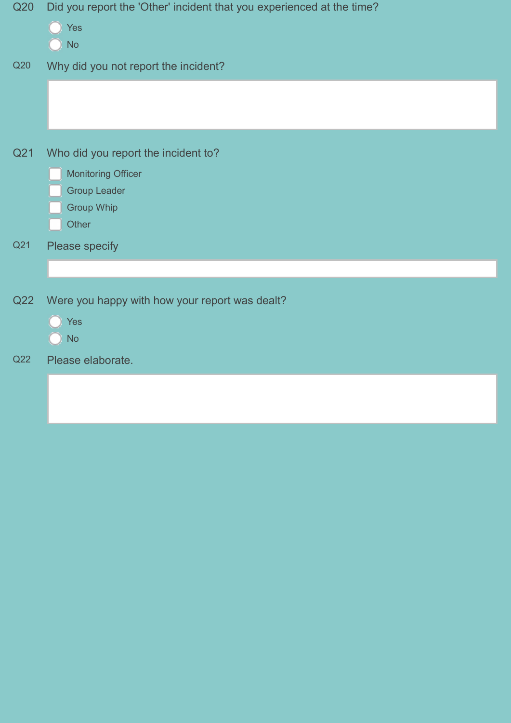| Q20 | Did you report the 'Other' incident that you experienced at the time? |
|-----|-----------------------------------------------------------------------|
|     | Yes<br><b>No</b>                                                      |
|     |                                                                       |
| Q20 | Why did you not report the incident?                                  |
|     |                                                                       |
| Q21 | Who did you report the incident to?                                   |
|     | <b>Monitoring Officer</b>                                             |
|     | <b>Group Leader</b>                                                   |
|     | <b>Group Whip</b>                                                     |
|     | Other                                                                 |
| Q21 | Please specify                                                        |
|     |                                                                       |
| Q22 | Were you happy with how your report was dealt?                        |
|     | <b>Yes</b>                                                            |
|     | <b>No</b>                                                             |
| Q22 | Please elaborate.                                                     |
|     |                                                                       |
|     |                                                                       |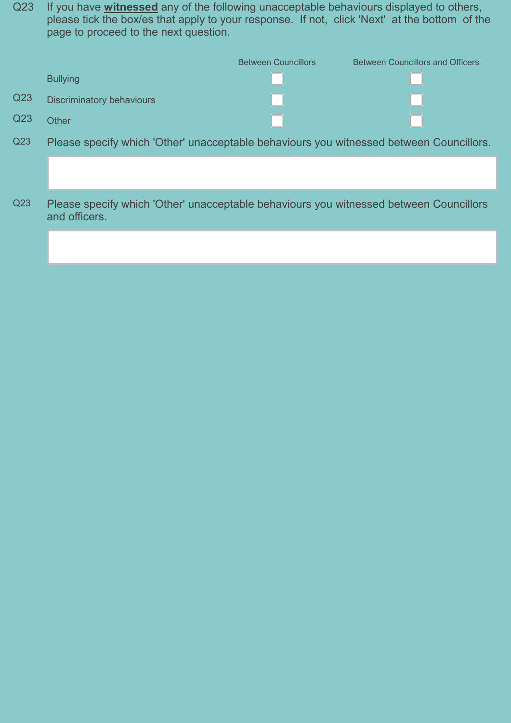Q23 If you have **witnessed** any of the following unacceptable behaviours displayed to others, please tick the box/es that apply to your response. If not, click 'Next' at the bottom of the page to proceed to the next question.

|                 |                           | <b>Between Councillors</b> | <b>Between Councillors and Officers</b> |
|-----------------|---------------------------|----------------------------|-----------------------------------------|
|                 | <b>Bullying</b>           |                            |                                         |
| Q <sub>23</sub> | Discriminatory behaviours |                            |                                         |
| Q <sub>23</sub> | Other                     |                            |                                         |
|                 |                           |                            |                                         |

- Q23 Please specify which 'Other' unacceptable behaviours you witnessed between Councillors.
- Q23 Please specify which 'Other' unacceptable behaviours you witnessed between Councillors and officers.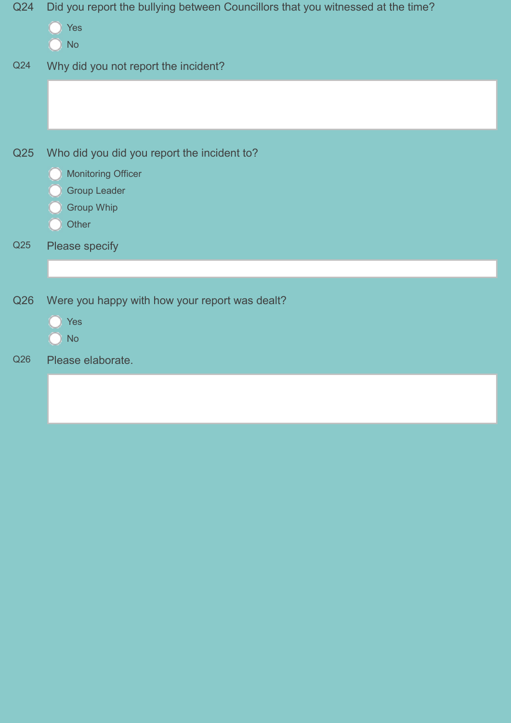| Q24 | Did you report the bullying between Councillors that you witnessed at the time? |
|-----|---------------------------------------------------------------------------------|
|     | Yes                                                                             |
|     | <b>No</b>                                                                       |
| Q24 | Why did you not report the incident?                                            |
|     |                                                                                 |
|     |                                                                                 |
|     |                                                                                 |
| Q25 | Who did you did you report the incident to?                                     |
|     | <b>Monitoring Officer</b>                                                       |
|     | <b>Group Leader</b>                                                             |
|     | <b>Group Whip</b>                                                               |
|     | Other                                                                           |
| Q25 | Please specify                                                                  |
|     |                                                                                 |
|     |                                                                                 |
| Q26 | Were you happy with how your report was dealt?                                  |
|     | <b>Yes</b>                                                                      |
|     | <b>No</b>                                                                       |
| Q26 | Please elaborate.                                                               |
|     |                                                                                 |
|     |                                                                                 |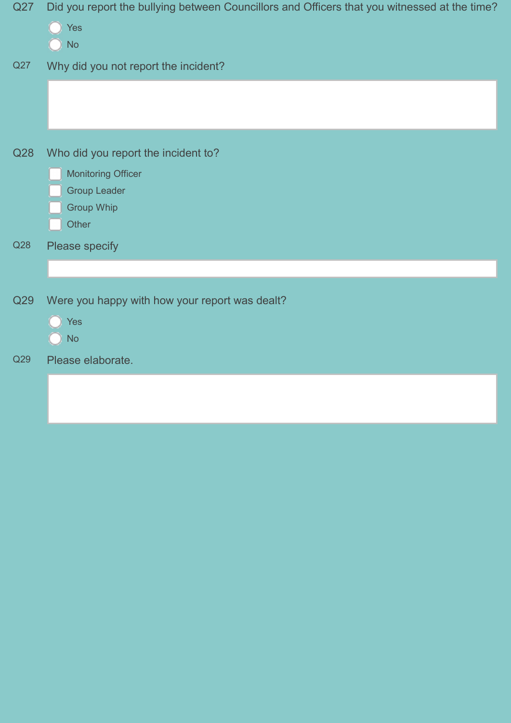| Q27 | Did you report the bullying between Councillors and Officers that you witnessed at the time?<br>Yes |
|-----|-----------------------------------------------------------------------------------------------------|
|     | <b>No</b>                                                                                           |
| Q27 | Why did you not report the incident?                                                                |
|     |                                                                                                     |
| Q28 | Who did you report the incident to?                                                                 |
|     | <b>Monitoring Officer</b>                                                                           |
|     | <b>Group Leader</b>                                                                                 |
|     | <b>Group Whip</b>                                                                                   |
|     | Other                                                                                               |
| Q28 | Please specify                                                                                      |
|     |                                                                                                     |
| Q29 | Were you happy with how your report was dealt?                                                      |
|     | <b>Yes</b>                                                                                          |
|     | <b>No</b>                                                                                           |
| Q29 | Please elaborate.                                                                                   |
|     |                                                                                                     |
|     |                                                                                                     |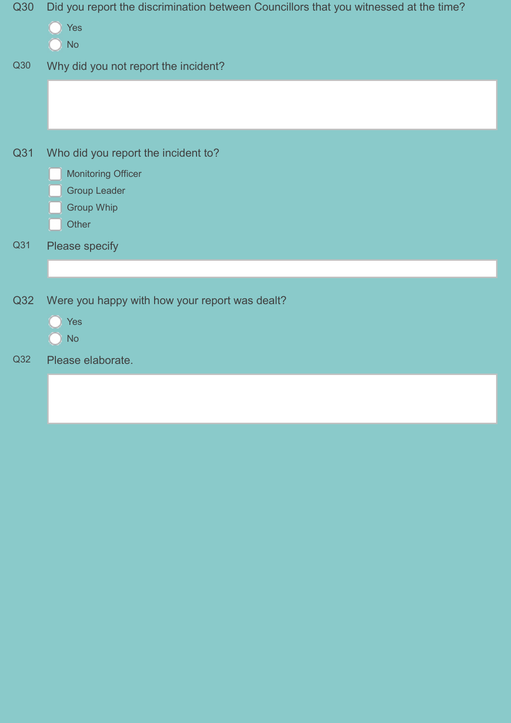| Q30 | Did you report the discrimination between Councillors that you witnessed at the time? |
|-----|---------------------------------------------------------------------------------------|
|     | Yes                                                                                   |
|     | <b>No</b>                                                                             |
| Q30 | Why did you not report the incident?                                                  |
|     |                                                                                       |
|     |                                                                                       |
|     |                                                                                       |
| Q31 | Who did you report the incident to?                                                   |
|     | <b>Monitoring Officer</b>                                                             |
|     | <b>Group Leader</b>                                                                   |
|     | <b>Group Whip</b>                                                                     |
|     | Other                                                                                 |
| Q31 | Please specify                                                                        |
|     |                                                                                       |
| Q32 | Were you happy with how your report was dealt?                                        |
|     | Yes                                                                                   |
|     | <b>No</b>                                                                             |
| Q32 | Please elaborate.                                                                     |
|     |                                                                                       |
|     |                                                                                       |
|     |                                                                                       |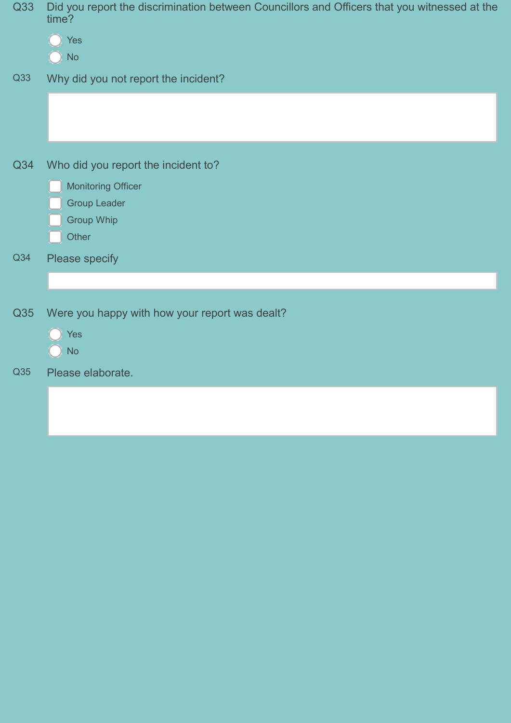| Q33 | Did you report the discrimination between Councillors and Officers that you witnessed at the<br>time?<br>Yes<br><b>No</b> |
|-----|---------------------------------------------------------------------------------------------------------------------------|
| Q33 | Why did you not report the incident?                                                                                      |
| Q34 | Who did you report the incident to?<br><b>Monitoring Officer</b><br><b>Group Leader</b><br><b>Group Whip</b><br>Other     |
| Q34 | Please specify                                                                                                            |
| Q35 | Were you happy with how your report was dealt?<br>Yes<br><b>No</b>                                                        |
| Q35 | Please elaborate.                                                                                                         |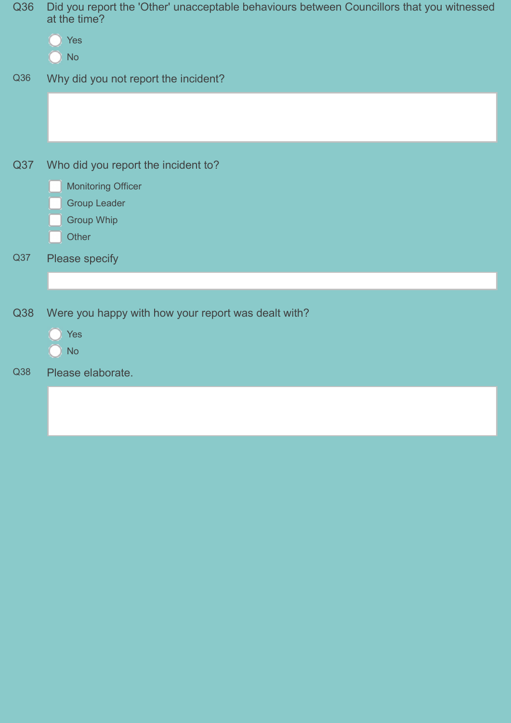| Q36 | Did you report the 'Other' unacceptable behaviours between Councillors that you witnessed<br>at the time?<br><b>Yes</b><br><b>No</b> |
|-----|--------------------------------------------------------------------------------------------------------------------------------------|
| Q36 | Why did you not report the incident?                                                                                                 |
| Q37 | Who did you report the incident to?<br><b>Monitoring Officer</b><br><b>Group Leader</b><br><b>Group Whip</b><br>Other                |
| Q37 | Please specify                                                                                                                       |
| Q38 | Were you happy with how your report was dealt with?<br>Yes<br><b>No</b>                                                              |
| Q38 | Please elaborate.                                                                                                                    |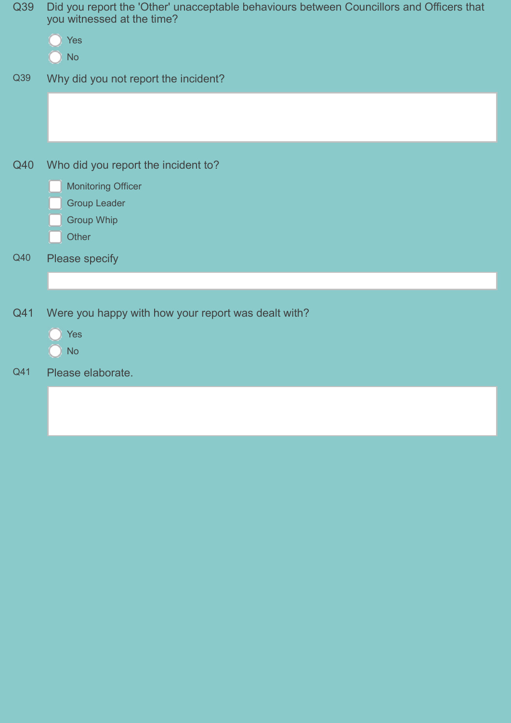| Q39 | Did you report the 'Other' unacceptable behaviours between Councillors and Officers that<br>you witnessed at the time?<br>Yes<br><b>No</b> |
|-----|--------------------------------------------------------------------------------------------------------------------------------------------|
| Q39 | Why did you not report the incident?                                                                                                       |
| Q40 | Who did you report the incident to?<br><b>Monitoring Officer</b><br><b>Group Leader</b><br><b>Group Whip</b><br>Other                      |
| Q40 | Please specify                                                                                                                             |
| Q41 | Were you happy with how your report was dealt with?<br>Yes<br><b>No</b>                                                                    |
| Q41 | Please elaborate.                                                                                                                          |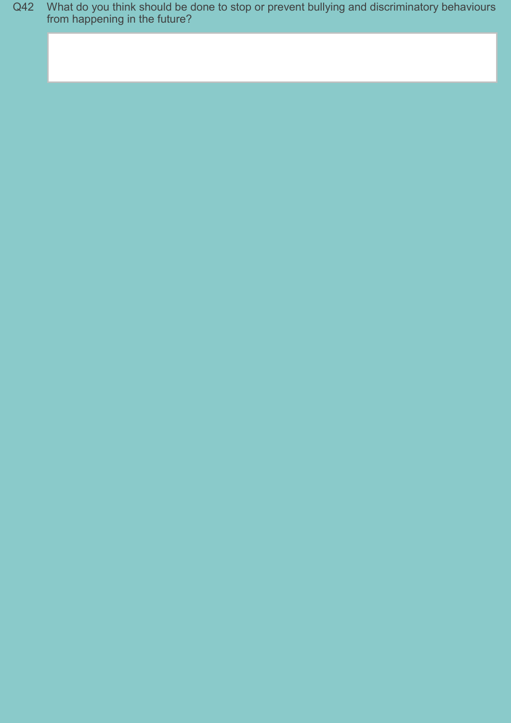Q42 What do you think should be done to stop or prevent bullying and discriminatory behaviours from happening in the future?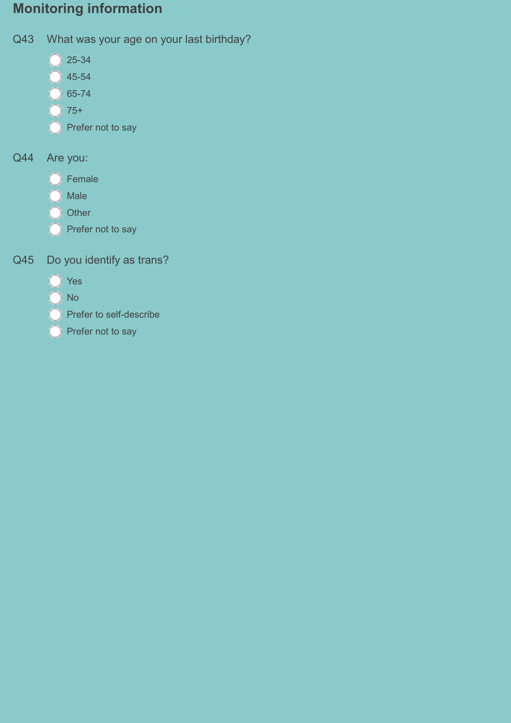# Monitoring information

- Q43 What was your age on your last birthday?
	- $\bigcirc$  25-34
	- $\bigcirc$  45-54
	- $\bigcirc$  65-74
	- $\bigcirc$  75+
	- Prefer not to say

# Q44 Are you:

- O Female
- **O** Male
- O Other
- **Prefer not to say**
- Q45 Do you identify as trans?
	- **O** Yes
	- O No
	- **Prefer to self-describe**
	- **O** Prefer not to say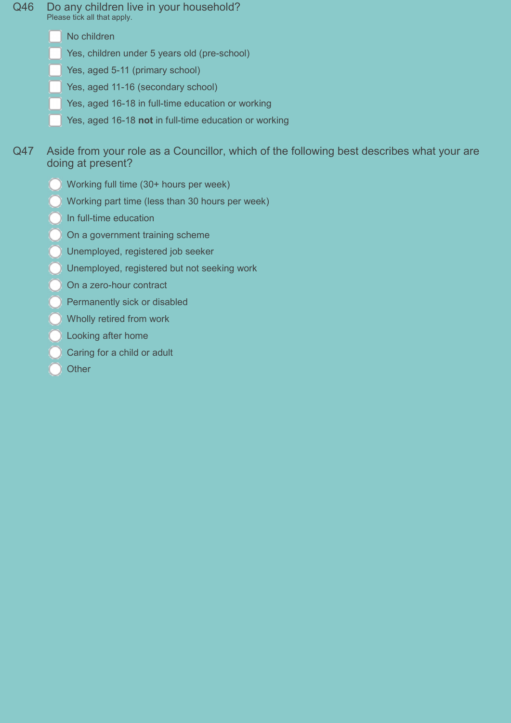- Q46 Do any children live in your household? Please tick all that apply.
	- No children
	- Yes, children under 5 years old (pre-school)
	- Yes, aged 5-11 (primary school)
	- Yes, aged 11-16 (secondary school)
	- Yes, aged 16-18 in full-time education or working
	- Yes, aged 16-18 not in full-time education or working
- Q47 Aside from your role as a Councillor, which of the following best describes what your are doing at present?
	- Working full time (30+ hours per week)
	- Working part time (less than 30 hours per week)
	- In full-time education
	- On a government training scheme
	- Unemployed, registered job seeker
	- Unemployed, registered but not seeking work
	- On a zero-hour contract
	- Permanently sick or disabled
	- Wholly retired from work
	- Looking after home
	- Caring for a child or adult
	- **Other**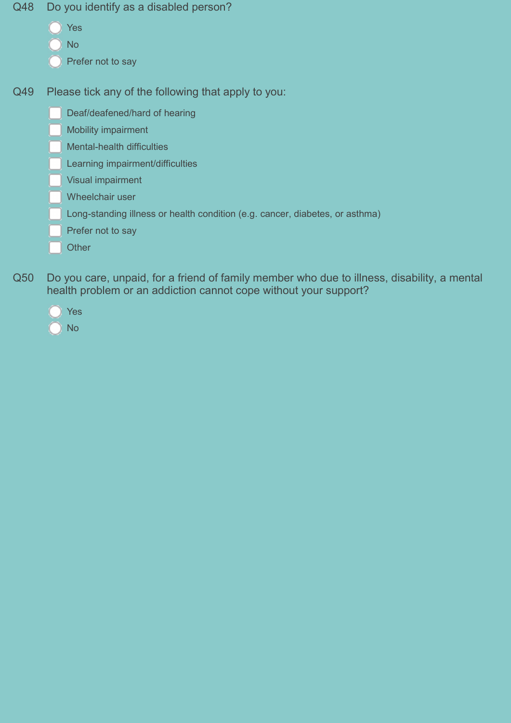- Q48 Do you identify as a disabled person?
	- Yes
	- No
	- Prefer not to say
- Q49 Please tick any of the following that apply to you:
	- Deaf/deafened/hard of hearing
	- Mobility impairment
	- Mental-health difficulties
	- Learning impairment/difficulties
	- Visual impairment
	- Wheelchair user
	- Long-standing illness or health condition (e.g. cancer, diabetes, or asthma)
	- Prefer not to say
	- **Other**
- Q50 Do you care, unpaid, for a friend of family member who due to illness, disability, a mental health problem or an addiction cannot cope without your support?



No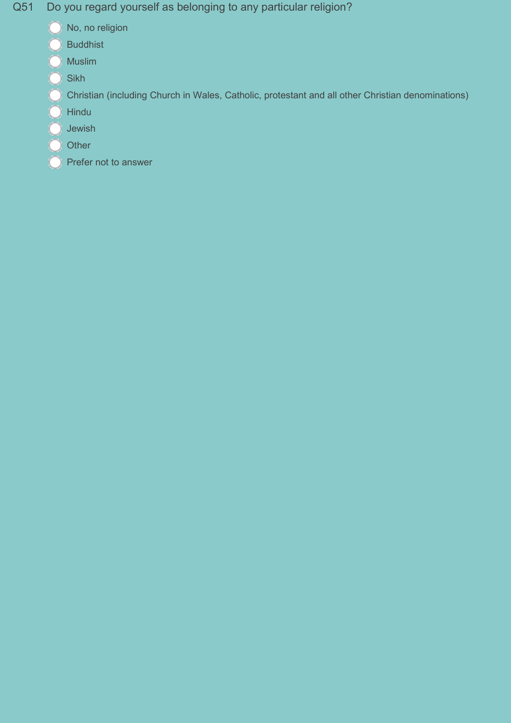Q51 Do you regard yourself as belonging to any particular religion?

- No, no religion
- Buddhist
- **O** Muslim
- $\bigcirc$  Sikh
- C Christian (including Church in Wales, Catholic, protestant and all other Christian denominations)
- O Hindu
- $\bigcirc$  Jewish
- O Other
- Prefer not to answer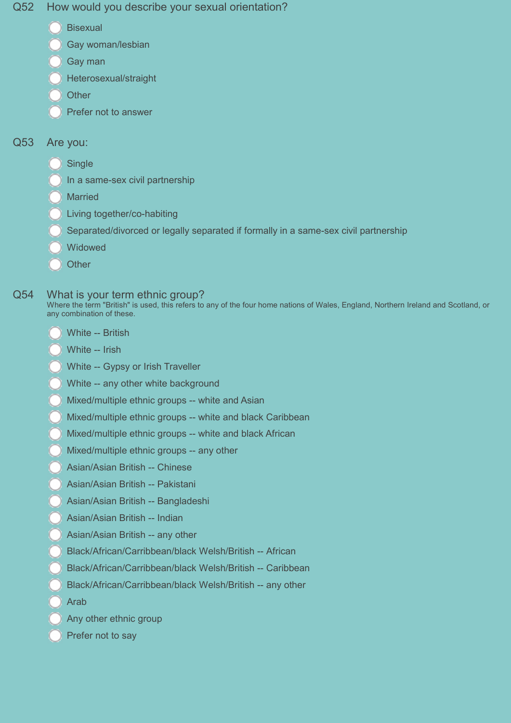#### Q52 How would you describe your sexual orientation?

- **Bisexual**
- Gay woman/lesbian
- Gay man
- Heterosexual/straight
- **Other**
- Prefer not to answer

### Q53 Are you:

- **Single**
- In a same-sex civil partnership
- **Married**
- Living together/co-habiting
- Separated/divorced or legally separated if formally in a same-sex civil partnership
- **Widowed**
- **Other**

#### Q54 What is your term ethnic group?

Where the term "British" is used, this refers to any of the four home nations of Wales, England, Northern Ireland and Scotland, or any combination of these.

- White -- British
- White -- Irish
- White -- Gypsy or Irish Traveller
- White -- any other white background
- Mixed/multiple ethnic groups -- white and Asian
- Mixed/multiple ethnic groups -- white and black Caribbean
- Mixed/multiple ethnic groups -- white and black African
- Mixed/multiple ethnic groups -- any other
- Asian/Asian British -- Chinese
- Asian/Asian British -- Pakistani
- Asian/Asian British -- Bangladeshi
- Asian/Asian British -- Indian
- Asian/Asian British -- any other
- Black/African/Carribbean/black Welsh/British -- African
- Black/African/Carribbean/black Welsh/British -- Caribbean
- Black/African/Carribbean/black Welsh/British -- any other
- Arab
- Any other ethnic group
- Prefer not to say